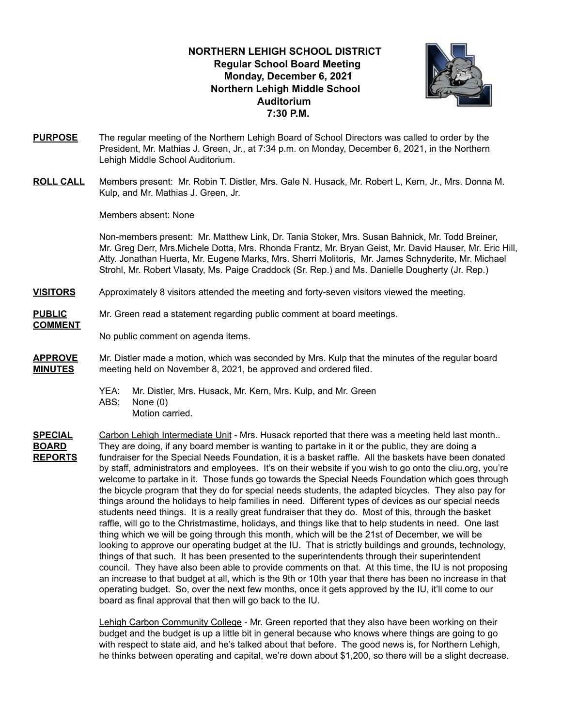## **NORTHERN LEHIGH SCHOOL DISTRICT Regular School Board Meeting Monday, December 6, 2021 Northern Lehigh Middle School Auditorium 7:30 P.M.**



- **PURPOSE** The regular meeting of the Northern Lehigh Board of School Directors was called to order by the President, Mr. Mathias J. Green, Jr., at 7:34 p.m. on Monday, December 6, 2021, in the Northern Lehigh Middle School Auditorium.
- **ROLL CALL** Members present: Mr. Robin T. Distler, Mrs. Gale N. Husack, Mr. Robert L, Kern, Jr., Mrs. Donna M. Kulp, and Mr. Mathias J. Green, Jr.

Members absent: None

Non-members present: Mr. Matthew Link, Dr. Tania Stoker, Mrs. Susan Bahnick, Mr. Todd Breiner, Mr. Greg Derr, Mrs.Michele Dotta, Mrs. Rhonda Frantz, Mr. Bryan Geist, Mr. David Hauser, Mr. Eric Hill, Atty. Jonathan Huerta, Mr. Eugene Marks, Mrs. Sherri Molitoris, Mr. James Schnyderite, Mr. Michael Strohl, Mr. Robert Vlasaty, Ms. Paige Craddock (Sr. Rep.) and Ms. Danielle Dougherty (Jr. Rep.)

- **VISITORS** Approximately 8 visitors attended the meeting and forty-seven visitors viewed the meeting.
- **PUBLIC** Mr. Green read a statement regarding public comment at board meetings.

No public comment on agenda items.

- **APPROVE** Mr. Distler made a motion, which was seconded by Mrs. Kulp that the minutes of the regular board **MINUTES** meeting held on November 8, 2021, be approved and ordered filed.
	- YEA: Mr. Distler, Mrs. Husack, Mr. Kern, Mrs. Kulp, and Mr. Green
	- ABS: None (0)

**COMMENT**

- Motion carried.
- **SPECIAL** Carbon Lehigh Intermediate Unit Mrs. Husack reported that there was a meeting held last month.. **BOARD** They are doing, if any board member is wanting to partake in it or the public, they are doing a **REPORTS** fundraiser for the Special Needs Foundation, it is a basket raffle. All the baskets have been donated by staff, administrators and employees. It's on their website if you wish to go onto the cliu.org, you're welcome to partake in it. Those funds go towards the Special Needs Foundation which goes through the bicycle program that they do for special needs students, the adapted bicycles. They also pay for things around the holidays to help families in need. Different types of devices as our special needs students need things. It is a really great fundraiser that they do. Most of this, through the basket raffle, will go to the Christmastime, holidays, and things like that to help students in need. One last thing which we will be going through this month, which will be the 21st of December, we will be looking to approve our operating budget at the IU. That is strictly buildings and grounds, technology, things of that such. It has been presented to the superintendents through their superintendent council. They have also been able to provide comments on that. At this time, the IU is not proposing an increase to that budget at all, which is the 9th or 10th year that there has been no increase in that operating budget. So, over the next few months, once it gets approved by the IU, it'll come to our board as final approval that then will go back to the IU.

Lehigh Carbon Community College - Mr. Green reported that they also have been working on their budget and the budget is up a little bit in general because who knows where things are going to go with respect to state aid, and he's talked about that before. The good news is, for Northern Lehigh, he thinks between operating and capital, we're down about \$1,200, so there will be a slight decrease.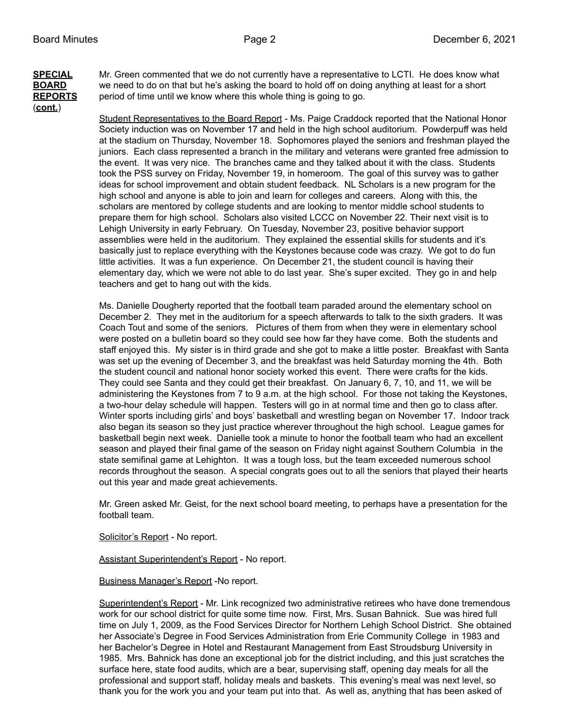# (**cont.**)

**SPECIAL** Mr. Green commented that we do not currently have a representative to LCTI. He does know what **BOARD** we need to do on that but he's asking the board to hold off on doing anything at least for a short **REPORTS** period of time until we know where this whole thing is going to go.

> Student Representatives to the Board Report - Ms. Paige Craddock reported that the National Honor Society induction was on November 17 and held in the high school auditorium. Powderpuff was held at the stadium on Thursday, November 18. Sophomores played the seniors and freshman played the juniors. Each class represented a branch in the military and veterans were granted free admission to the event. It was very nice. The branches came and they talked about it with the class. Students took the PSS survey on Friday, November 19, in homeroom. The goal of this survey was to gather ideas for school improvement and obtain student feedback. NL Scholars is a new program for the high school and anyone is able to join and learn for colleges and careers. Along with this, the scholars are mentored by college students and are looking to mentor middle school students to prepare them for high school. Scholars also visited LCCC on November 22. Their next visit is to Lehigh University in early February. On Tuesday, November 23, positive behavior support assemblies were held in the auditorium. They explained the essential skills for students and it's basically just to replace everything with the Keystones because code was crazy. We got to do fun little activities. It was a fun experience. On December 21, the student council is having their elementary day, which we were not able to do last year. She's super excited. They go in and help teachers and get to hang out with the kids.

> Ms. Danielle Dougherty reported that the football team paraded around the elementary school on December 2. They met in the auditorium for a speech afterwards to talk to the sixth graders. It was Coach Tout and some of the seniors. Pictures of them from when they were in elementary school were posted on a bulletin board so they could see how far they have come. Both the students and staff enjoyed this. My sister is in third grade and she got to make a little poster. Breakfast with Santa was set up the evening of December 3, and the breakfast was held Saturday morning the 4th. Both the student council and national honor society worked this event. There were crafts for the kids. They could see Santa and they could get their breakfast. On January 6, 7, 10, and 11, we will be administering the Keystones from 7 to 9 a.m. at the high school. For those not taking the Keystones, a two-hour delay schedule will happen. Testers will go in at normal time and then go to class after. Winter sports including girls' and boys' basketball and wrestling began on November 17. Indoor track also began its season so they just practice wherever throughout the high school. League games for basketball begin next week. Danielle took a minute to honor the football team who had an excellent season and played their final game of the season on Friday night against Southern Columbia in the state semifinal game at Lehighton. It was a tough loss, but the team exceeded numerous school records throughout the season. A special congrats goes out to all the seniors that played their hearts out this year and made great achievements.

> Mr. Green asked Mr. Geist, for the next school board meeting, to perhaps have a presentation for the football team.

Solicitor's Report - No report.

Assistant Superintendent's Report - No report.

#### Business Manager's Report -No report.

Superintendent's Report - Mr. Link recognized two administrative retirees who have done tremendous work for our school district for quite some time now. First, Mrs. Susan Bahnick. Sue was hired full time on July 1, 2009, as the Food Services Director for Northern Lehigh School District. She obtained her Associate's Degree in Food Services Administration from Erie Community College in 1983 and her Bachelor's Degree in Hotel and Restaurant Management from East Stroudsburg University in 1985. Mrs. Bahnick has done an exceptional job for the district including, and this just scratches the surface here, state food audits, which are a bear, supervising staff, opening day meals for all the professional and support staff, holiday meals and baskets. This evening's meal was next level, so thank you for the work you and your team put into that. As well as, anything that has been asked of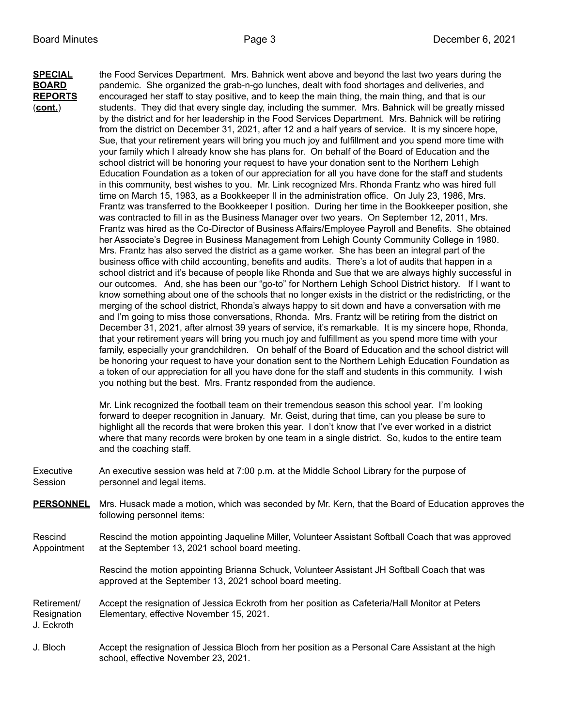**SPECIAL** the Food Services Department. Mrs. Bahnick went above and beyond the last two years during the **BOARD** pandemic. She organized the grab-n-go lunches, dealt with food shortages and deliveries, and **REPORTS** encouraged her staff to stay positive, and to keep the main thing, the main thing, and that is our (**cont.**) students. They did that every single day, including the summer. Mrs. Bahnick will be greatly missed by the district and for her leadership in the Food Services Department. Mrs. Bahnick will be retiring from the district on December 31, 2021, after 12 and a half years of service. It is my sincere hope, Sue, that your retirement years will bring you much joy and fulfillment and you spend more time with your family which I already know she has plans for. On behalf of the Board of Education and the school district will be honoring your request to have your donation sent to the Northern Lehigh Education Foundation as a token of our appreciation for all you have done for the staff and students in this community, best wishes to you. Mr. Link recognized Mrs. Rhonda Frantz who was hired full time on March 15, 1983, as a Bookkeeper II in the administration office. On July 23, 1986, Mrs. Frantz was transferred to the Bookkeeper I position. During her time in the Bookkeeper position, she was contracted to fill in as the Business Manager over two years. On September 12, 2011, Mrs. Frantz was hired as the Co-Director of Business Affairs/Employee Payroll and Benefits. She obtained her Associate's Degree in Business Management from Lehigh County Community College in 1980. Mrs. Frantz has also served the district as a game worker. She has been an integral part of the business office with child accounting, benefits and audits. There's a lot of audits that happen in a school district and it's because of people like Rhonda and Sue that we are always highly successful in our outcomes. And, she has been our "go-to" for Northern Lehigh School District history. If I want to know something about one of the schools that no longer exists in the district or the redistricting, or the merging of the school district, Rhonda's always happy to sit down and have a conversation with me and I'm going to miss those conversations, Rhonda. Mrs. Frantz will be retiring from the district on December 31, 2021, after almost 39 years of service, it's remarkable. It is my sincere hope, Rhonda, that your retirement years will bring you much joy and fulfillment as you spend more time with your family, especially your grandchildren. On behalf of the Board of Education and the school district will be honoring your request to have your donation sent to the Northern Lehigh Education Foundation as a token of our appreciation for all you have done for the staff and students in this community. I wish you nothing but the best. Mrs. Frantz responded from the audience.

> Mr. Link recognized the football team on their tremendous season this school year. I'm looking forward to deeper recognition in January. Mr. Geist, during that time, can you please be sure to highlight all the records that were broken this year. I don't know that I've ever worked in a district where that many records were broken by one team in a single district. So, kudos to the entire team and the coaching staff.

- Executive An executive session was held at 7:00 p.m. at the Middle School Library for the purpose of Session personnel and legal items.
- **PERSONNEL** Mrs. Husack made a motion, which was seconded by Mr. Kern, that the Board of Education approves the following personnel items:

Rescind Rescind the motion appointing Jaqueline Miller, Volunteer Assistant Softball Coach that was approved Appointment at the September 13, 2021 school board meeting.

> Rescind the motion appointing Brianna Schuck, Volunteer Assistant JH Softball Coach that was approved at the September 13, 2021 school board meeting.

Retirement/ Accept the resignation of Jessica Eckroth from her position as Cafeteria/Hall Monitor at Peters Resignation Elementary, effective November 15, 2021.

J. Eckroth

J. Bloch Accept the resignation of Jessica Bloch from her position as a Personal Care Assistant at the high school, effective November 23, 2021.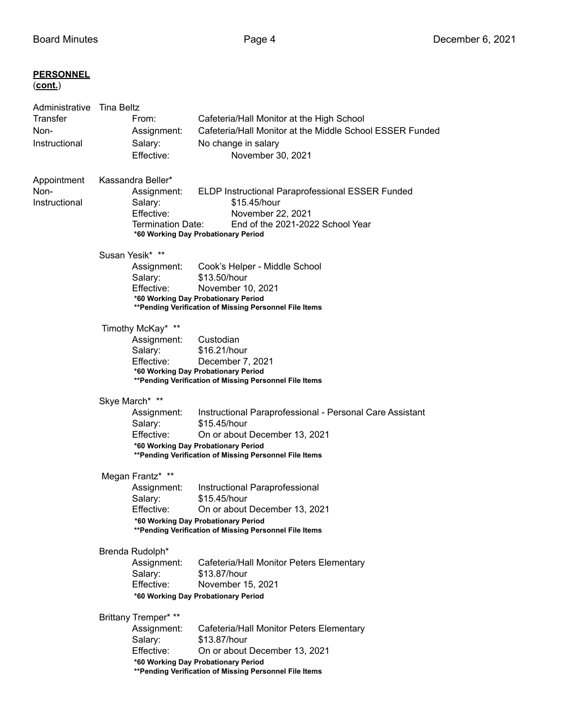| <b>PERSONNEL</b><br><u>(cont.)</u>                                    |                                                                                                                                                                                                                                                                       |
|-----------------------------------------------------------------------|-----------------------------------------------------------------------------------------------------------------------------------------------------------------------------------------------------------------------------------------------------------------------|
| Administrative Tina Beltz<br><b>Transfer</b><br>Non-<br>Instructional | From:<br>Cafeteria/Hall Monitor at the High School<br>Cafeteria/Hall Monitor at the Middle School ESSER Funded<br>Assignment:<br>Salary:<br>No change in salary<br>Effective:<br>November 30, 2021                                                                    |
| Appointment<br>Non-<br>Instructional                                  | Kassandra Beller*<br>ELDP Instructional Paraprofessional ESSER Funded<br>Assignment:<br>Salary:<br>\$15.45/hour<br>Effective:<br>November 22, 2021<br><b>Termination Date:</b><br>End of the 2021-2022 School Year<br>*60 Working Day Probationary Period             |
|                                                                       | Susan Yesik* **<br>Cook's Helper - Middle School<br>Assignment:<br>Salary:<br>\$13.50/hour<br>Effective:<br>November 10, 2021<br>*60 Working Day Probationary Period<br>**Pending Verification of Missing Personnel File Items                                        |
|                                                                       | Timothy McKay* **<br>Assignment:<br>Custodian<br>\$16.21/hour<br>Salary:<br>Effective:<br>December 7, 2021<br>*60 Working Day Probationary Period<br>** Pending Verification of Missing Personnel File Items                                                          |
|                                                                       | Skye March* **<br>Instructional Paraprofessional - Personal Care Assistant<br>Assignment:<br>\$15.45/hour<br>Salary:<br>Effective:<br>On or about December 13, 2021<br>*60 Working Day Probationary Period<br>** Pending Verification of Missing Personnel File Items |
|                                                                       | Megan Frantz* **<br>Instructional Paraprofessional<br>Assignment:<br>Salary:<br>\$15.45/hour<br>Effective:<br>On or about December 13, 2021<br>*60 Working Day Probationary Period<br>**Pending Verification of Missing Personnel File Items                          |
|                                                                       | Brenda Rudolph*<br>Assignment:<br>Cafeteria/Hall Monitor Peters Elementary<br>\$13.87/hour<br>Salary:<br>Effective:<br>November 15, 2021<br>*60 Working Day Probationary Period                                                                                       |
|                                                                       | Brittany Tremper* **<br>Assignment:<br>Cafeteria/Hall Monitor Peters Elementary<br>\$13.87/hour<br>Salary:<br>Effective:<br>On or about December 13, 2021<br>*60 Working Day Probationary Period<br>** Pending Verification of Missing Personnel File Items           |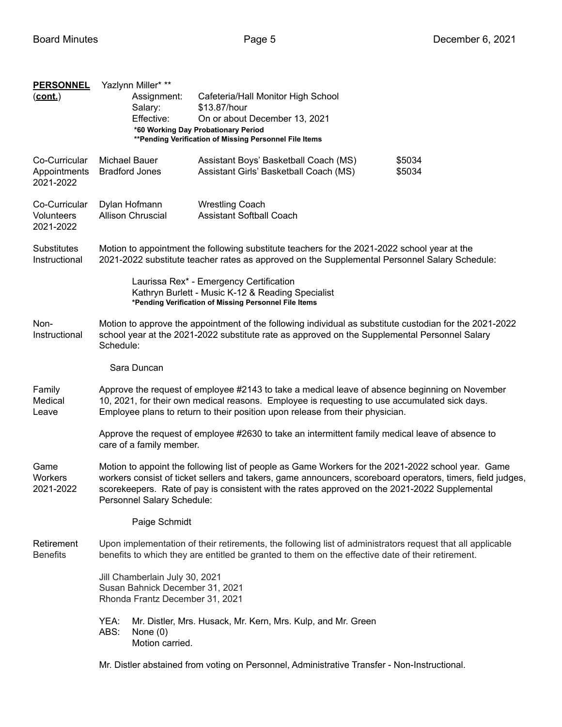| <b>PERSONNEL</b><br>$(cont.)$              |                                                                                                                                                                                                                                                                                                                                                 | Yazlynn Miller* **<br>Assignment:<br>Salary:<br>Effective:                                                                                                                                                            | Cafeteria/Hall Monitor High School<br>\$13.87/hour<br>On or about December 13, 2021<br>*60 Working Day Probationary Period<br>** Pending Verification of Missing Personnel File Items |                  |  |  |
|--------------------------------------------|-------------------------------------------------------------------------------------------------------------------------------------------------------------------------------------------------------------------------------------------------------------------------------------------------------------------------------------------------|-----------------------------------------------------------------------------------------------------------------------------------------------------------------------------------------------------------------------|---------------------------------------------------------------------------------------------------------------------------------------------------------------------------------------|------------------|--|--|
| Co-Curricular<br>Appointments<br>2021-2022 | Michael Bauer                                                                                                                                                                                                                                                                                                                                   | <b>Bradford Jones</b>                                                                                                                                                                                                 | Assistant Boys' Basketball Coach (MS)<br>Assistant Girls' Basketball Coach (MS)                                                                                                       | \$5034<br>\$5034 |  |  |
| Co-Curricular<br>Volunteers<br>2021-2022   |                                                                                                                                                                                                                                                                                                                                                 | Dylan Hofmann<br><b>Wrestling Coach</b><br>Allison Chruscial<br><b>Assistant Softball Coach</b>                                                                                                                       |                                                                                                                                                                                       |                  |  |  |
| Substitutes<br>Instructional               | Motion to appointment the following substitute teachers for the 2021-2022 school year at the<br>2021-2022 substitute teacher rates as approved on the Supplemental Personnel Salary Schedule:                                                                                                                                                   |                                                                                                                                                                                                                       |                                                                                                                                                                                       |                  |  |  |
|                                            |                                                                                                                                                                                                                                                                                                                                                 |                                                                                                                                                                                                                       | Laurissa Rex* - Emergency Certification<br>Kathryn Burlett - Music K-12 & Reading Specialist<br>*Pending Verification of Missing Personnel File Items                                 |                  |  |  |
| Non-<br>Instructional                      |                                                                                                                                                                                                                                                                                                                                                 | Motion to approve the appointment of the following individual as substitute custodian for the 2021-2022<br>school year at the 2021-2022 substitute rate as approved on the Supplemental Personnel Salary<br>Schedule: |                                                                                                                                                                                       |                  |  |  |
|                                            |                                                                                                                                                                                                                                                                                                                                                 | Sara Duncan                                                                                                                                                                                                           |                                                                                                                                                                                       |                  |  |  |
| Family<br>Medical<br>Leave                 | Approve the request of employee #2143 to take a medical leave of absence beginning on November<br>10, 2021, for their own medical reasons. Employee is requesting to use accumulated sick days.<br>Employee plans to return to their position upon release from their physician.                                                                |                                                                                                                                                                                                                       |                                                                                                                                                                                       |                  |  |  |
|                                            | Approve the request of employee #2630 to take an intermittent family medical leave of absence to<br>care of a family member.                                                                                                                                                                                                                    |                                                                                                                                                                                                                       |                                                                                                                                                                                       |                  |  |  |
| Game<br>Workers<br>2021-2022               | Motion to appoint the following list of people as Game Workers for the 2021-2022 school year. Game<br>workers consist of ticket sellers and takers, game announcers, scoreboard operators, timers, field judges,<br>scorekeepers. Rate of pay is consistent with the rates approved on the 2021-2022 Supplemental<br>Personnel Salary Schedule: |                                                                                                                                                                                                                       |                                                                                                                                                                                       |                  |  |  |
|                                            |                                                                                                                                                                                                                                                                                                                                                 | Paige Schmidt                                                                                                                                                                                                         |                                                                                                                                                                                       |                  |  |  |
| Retirement<br><b>Benefits</b>              | Upon implementation of their retirements, the following list of administrators request that all applicable<br>benefits to which they are entitled be granted to them on the effective date of their retirement.                                                                                                                                 |                                                                                                                                                                                                                       |                                                                                                                                                                                       |                  |  |  |
|                                            | Jill Chamberlain July 30, 2021<br>Susan Bahnick December 31, 2021<br>Rhonda Frantz December 31, 2021                                                                                                                                                                                                                                            |                                                                                                                                                                                                                       |                                                                                                                                                                                       |                  |  |  |
|                                            | YEA:<br>ABS:                                                                                                                                                                                                                                                                                                                                    | None $(0)$<br>Motion carried.                                                                                                                                                                                         | Mr. Distler, Mrs. Husack, Mr. Kern, Mrs. Kulp, and Mr. Green                                                                                                                          |                  |  |  |

Mr. Distler abstained from voting on Personnel, Administrative Transfer - Non-Instructional.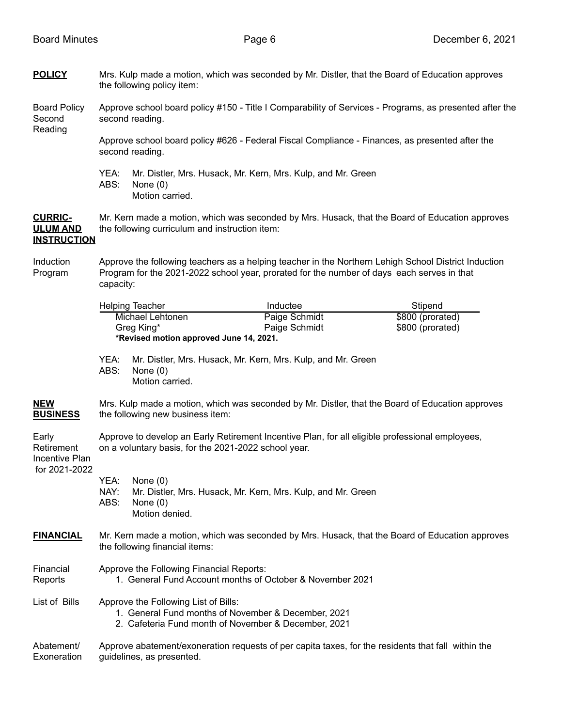**POLICY** Mrs. Kulp made a motion, which was seconded by Mr. Distler, that the Board of Education approves the following policy item:

Board Policy Approve school board policy #150 - Title I Comparability of Services - Programs, as presented after the Second second reading. Reading

Approve school board policy #626 - Federal Fiscal Compliance - Finances, as presented after the second reading.

YEA: Mr. Distler, Mrs. Husack, Mr. Kern, Mrs. Kulp, and Mr. Green ABS: None (0) Motion carried.

**CURRIC-** Mr. Kern made a motion, which was seconded by Mrs. Husack, that the Board of Education approves **ULUM AND** the following curriculum and instruction item: **INSTRUCTION**

### Induction Approve the following teachers as a helping teacher in the Northern Lehigh School District Induction Program Program for the 2021-2022 school year, prorated for the number of days each serves in that capacity:

|                                                        | <b>Helping Teacher</b><br>Michael Lehtonen<br>Greg King*                                                                                                |                                            | Inductee                                                     | Stipend          |  |  |
|--------------------------------------------------------|---------------------------------------------------------------------------------------------------------------------------------------------------------|--------------------------------------------|--------------------------------------------------------------|------------------|--|--|
|                                                        |                                                                                                                                                         |                                            | Paige Schmidt                                                | \$800 (prorated) |  |  |
|                                                        |                                                                                                                                                         |                                            | Paige Schmidt                                                | \$800 (prorated) |  |  |
|                                                        |                                                                                                                                                         | *Revised motion approved June 14, 2021.    |                                                              |                  |  |  |
|                                                        | YEA:<br>ABS:                                                                                                                                            | None $(0)$<br>Motion carried.              | Mr. Distler, Mrs. Husack, Mr. Kern, Mrs. Kulp, and Mr. Green |                  |  |  |
| <b>NEW</b><br><b>BUSINESS</b>                          | Mrs. Kulp made a motion, which was seconded by Mr. Distler, that the Board of Education approves<br>the following new business item:                    |                                            |                                                              |                  |  |  |
| Early<br>Retirement<br>Incentive Plan<br>for 2021-2022 | Approve to develop an Early Retirement Incentive Plan, for all eligible professional employees,<br>on a voluntary basis, for the 2021-2022 school year. |                                            |                                                              |                  |  |  |
|                                                        | YEA:<br>NAY:<br>ABS:                                                                                                                                    | None $(0)$<br>None $(0)$<br>Motion denied. | Mr. Distler, Mrs. Husack, Mr. Kern, Mrs. Kulp, and Mr. Green |                  |  |  |
| <b>FINANCIAL</b>                                       | Mr. Kern made a motion, which was seconded by Mrs. Husack, that the Board of Education approves<br>the following financial items:                       |                                            |                                                              |                  |  |  |
| Financial<br>Reports                                   | Approve the Following Financial Reports:<br>1. General Fund Account months of October & November 2021                                                   |                                            |                                                              |                  |  |  |
| List of Bills                                          | Approve the Following List of Bills:<br>1. General Fund months of November & December, 2021<br>2. Cafeteria Fund month of November & December, 2021     |                                            |                                                              |                  |  |  |
| Abatement/<br>Exoneration                              | Approve abatement/exoneration requests of per capita taxes, for the residents that fall within the<br>guidelines, as presented.                         |                                            |                                                              |                  |  |  |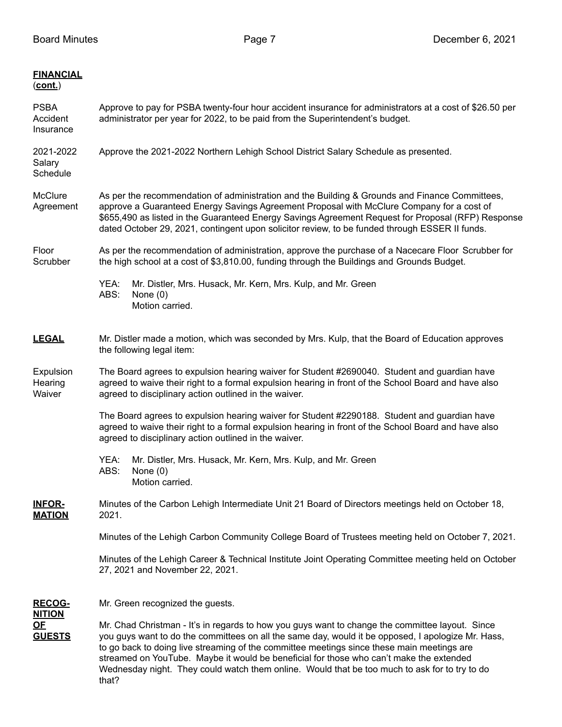| <u>FINANCIAL</u><br><u>(cont.)</u>          |                                                                                                                                                                                                                                                                                                                                                                                                                                                                                                          |                                                                                                                                                                                                                                                               |  |  |  |  |
|---------------------------------------------|----------------------------------------------------------------------------------------------------------------------------------------------------------------------------------------------------------------------------------------------------------------------------------------------------------------------------------------------------------------------------------------------------------------------------------------------------------------------------------------------------------|---------------------------------------------------------------------------------------------------------------------------------------------------------------------------------------------------------------------------------------------------------------|--|--|--|--|
| PSBA<br>Accident<br>Insurance               | Approve to pay for PSBA twenty-four hour accident insurance for administrators at a cost of \$26.50 per<br>administrator per year for 2022, to be paid from the Superintendent's budget.                                                                                                                                                                                                                                                                                                                 |                                                                                                                                                                                                                                                               |  |  |  |  |
| 2021-2022<br>Salary<br>Schedule             | Approve the 2021-2022 Northern Lehigh School District Salary Schedule as presented.                                                                                                                                                                                                                                                                                                                                                                                                                      |                                                                                                                                                                                                                                                               |  |  |  |  |
| McClure<br>Agreement                        | As per the recommendation of administration and the Building & Grounds and Finance Committees,<br>approve a Guaranteed Energy Savings Agreement Proposal with McClure Company for a cost of<br>\$655,490 as listed in the Guaranteed Energy Savings Agreement Request for Proposal (RFP) Response<br>dated October 29, 2021, contingent upon solicitor review, to be funded through ESSER II funds.                                                                                                      |                                                                                                                                                                                                                                                               |  |  |  |  |
| Floor<br>Scrubber                           | As per the recommendation of administration, approve the purchase of a Nacecare Floor Scrubber for<br>the high school at a cost of \$3,810.00, funding through the Buildings and Grounds Budget.                                                                                                                                                                                                                                                                                                         |                                                                                                                                                                                                                                                               |  |  |  |  |
|                                             | YEA:<br>ABS:                                                                                                                                                                                                                                                                                                                                                                                                                                                                                             | Mr. Distler, Mrs. Husack, Mr. Kern, Mrs. Kulp, and Mr. Green<br>None $(0)$<br>Motion carried.                                                                                                                                                                 |  |  |  |  |
| <b>LEGAL</b>                                | Mr. Distler made a motion, which was seconded by Mrs. Kulp, that the Board of Education approves<br>the following legal item:                                                                                                                                                                                                                                                                                                                                                                            |                                                                                                                                                                                                                                                               |  |  |  |  |
| Expulsion<br>Hearing<br>Waiver              | The Board agrees to expulsion hearing waiver for Student #2690040. Student and guardian have<br>agreed to waive their right to a formal expulsion hearing in front of the School Board and have also<br>agreed to disciplinary action outlined in the waiver.                                                                                                                                                                                                                                            |                                                                                                                                                                                                                                                               |  |  |  |  |
|                                             |                                                                                                                                                                                                                                                                                                                                                                                                                                                                                                          | The Board agrees to expulsion hearing waiver for Student #2290188. Student and guardian have<br>agreed to waive their right to a formal expulsion hearing in front of the School Board and have also<br>agreed to disciplinary action outlined in the waiver. |  |  |  |  |
|                                             | YEA:<br>ABS:                                                                                                                                                                                                                                                                                                                                                                                                                                                                                             | Mr. Distler, Mrs. Husack, Mr. Kern, Mrs. Kulp, and Mr. Green<br>None $(0)$<br>Motion carried.                                                                                                                                                                 |  |  |  |  |
| <b>INFOR-</b><br><b>MATION</b>              | 2021.                                                                                                                                                                                                                                                                                                                                                                                                                                                                                                    | Minutes of the Carbon Lehigh Intermediate Unit 21 Board of Directors meetings held on October 18,                                                                                                                                                             |  |  |  |  |
|                                             | Minutes of the Lehigh Carbon Community College Board of Trustees meeting held on October 7, 2021.                                                                                                                                                                                                                                                                                                                                                                                                        |                                                                                                                                                                                                                                                               |  |  |  |  |
|                                             | Minutes of the Lehigh Career & Technical Institute Joint Operating Committee meeting held on October<br>27, 2021 and November 22, 2021.                                                                                                                                                                                                                                                                                                                                                                  |                                                                                                                                                                                                                                                               |  |  |  |  |
| <u>RECOG-</u>                               | Mr. Green recognized the guests.                                                                                                                                                                                                                                                                                                                                                                                                                                                                         |                                                                                                                                                                                                                                                               |  |  |  |  |
| <u>NITION</u><br><u>OF</u><br><b>GUESTS</b> | Mr. Chad Christman - It's in regards to how you guys want to change the committee layout. Since<br>you guys want to do the committees on all the same day, would it be opposed, I apologize Mr. Hass,<br>to go back to doing live streaming of the committee meetings since these main meetings are<br>streamed on YouTube. Maybe it would be beneficial for those who can't make the extended<br>Wednesday night. They could watch them online. Would that be too much to ask for to try to do<br>that? |                                                                                                                                                                                                                                                               |  |  |  |  |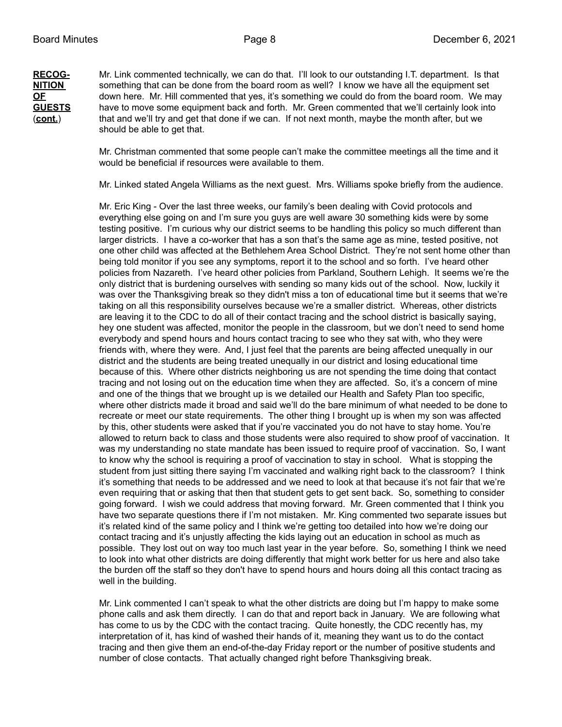**RECOG-** Mr. Link commented technically, we can do that. I'll look to our outstanding I.T. department. Is that **NITION** something that can be done from the board room as well? I know we have all the equipment set **OF** down here. Mr. Hill commented that yes, it's something we could do from the board room. We may **GUESTS** have to move some equipment back and forth. Mr. Green commented that we'll certainly look into have to move some equipment back and forth. Mr. Green commented that we'll certainly look into (**cont.**) that and we'll try and get that done if we can. If not next month, maybe the month after, but we should be able to get that.

> Mr. Christman commented that some people can't make the committee meetings all the time and it would be beneficial if resources were available to them.

> Mr. Linked stated Angela Williams as the next guest. Mrs. Williams spoke briefly from the audience.

Mr. Eric King - Over the last three weeks, our family's been dealing with Covid protocols and everything else going on and I'm sure you guys are well aware 30 something kids were by some testing positive. I'm curious why our district seems to be handling this policy so much different than larger districts. I have a co-worker that has a son that's the same age as mine, tested positive, not one other child was affected at the Bethlehem Area School District. They're not sent home other than being told monitor if you see any symptoms, report it to the school and so forth. I've heard other policies from Nazareth. I've heard other policies from Parkland, Southern Lehigh. It seems we're the only district that is burdening ourselves with sending so many kids out of the school. Now, luckily it was over the Thanksgiving break so they didn't miss a ton of educational time but it seems that we're taking on all this responsibility ourselves because we're a smaller district. Whereas, other districts are leaving it to the CDC to do all of their contact tracing and the school district is basically saying, hey one student was affected, monitor the people in the classroom, but we don't need to send home everybody and spend hours and hours contact tracing to see who they sat with, who they were friends with, where they were. And, I just feel that the parents are being affected unequally in our district and the students are being treated unequally in our district and losing educational time because of this. Where other districts neighboring us are not spending the time doing that contact tracing and not losing out on the education time when they are affected. So, it's a concern of mine and one of the things that we brought up is we detailed our Health and Safety Plan too specific, where other districts made it broad and said we'll do the bare minimum of what needed to be done to recreate or meet our state requirements. The other thing I brought up is when my son was affected by this, other students were asked that if you're vaccinated you do not have to stay home. You're allowed to return back to class and those students were also required to show proof of vaccination. It was my understanding no state mandate has been issued to require proof of vaccination. So, I want to know why the school is requiring a proof of vaccination to stay in school. What is stopping the student from just sitting there saying I'm vaccinated and walking right back to the classroom? I think it's something that needs to be addressed and we need to look at that because it's not fair that we're even requiring that or asking that then that student gets to get sent back. So, something to consider going forward. I wish we could address that moving forward. Mr. Green commented that I think you have two separate questions there if I'm not mistaken. Mr. King commented two separate issues but it's related kind of the same policy and I think we're getting too detailed into how we're doing our contact tracing and it's unjustly affecting the kids laying out an education in school as much as possible. They lost out on way too much last year in the year before. So, something I think we need to look into what other districts are doing differently that might work better for us here and also take the burden off the staff so they don't have to spend hours and hours doing all this contact tracing as well in the building.

Mr. Link commented I can't speak to what the other districts are doing but I'm happy to make some phone calls and ask them directly. I can do that and report back in January. We are following what has come to us by the CDC with the contact tracing. Quite honestly, the CDC recently has, my interpretation of it, has kind of washed their hands of it, meaning they want us to do the contact tracing and then give them an end-of-the-day Friday report or the number of positive students and number of close contacts. That actually changed right before Thanksgiving break.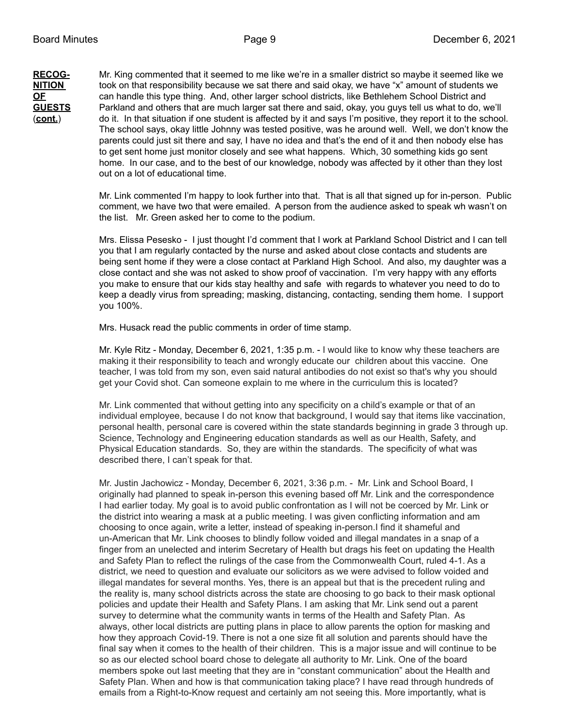**RECOG-** Mr. King commented that it seemed to me like we're in a smaller district so maybe it seemed like we **NITION** took on that responsibility because we sat there and said okay, we have "x" amount of students we **OF** can handle this type thing. And, other larger school districts, like Bethlehem School District and **GUESTS** Parkland and others that are much larger sat there and said, okay, you guys tell us what to do, we'll (**cont.**) do it. In that situation if one student is affected by it and says I'm positive, they report it to the school. The school says, okay little Johnny was tested positive, was he around well. Well, we don't know the parents could just sit there and say, I have no idea and that's the end of it and then nobody else has to get sent home just monitor closely and see what happens. Which, 30 something kids go sent home. In our case, and to the best of our knowledge, nobody was affected by it other than they lost out on a lot of educational time.

> Mr. Link commented I'm happy to look further into that. That is all that signed up for in-person. Public comment, we have two that were emailed. A person from the audience asked to speak wh wasn't on the list. Mr. Green asked her to come to the podium.

Mrs. Elissa Pesesko - I just thought I'd comment that I work at Parkland School District and I can tell you that I am regularly contacted by the nurse and asked about close contacts and students are being sent home if they were a close contact at Parkland High School. And also, my daughter was a close contact and she was not asked to show proof of vaccination. I'm very happy with any efforts you make to ensure that our kids stay healthy and safe with regards to whatever you need to do to keep a deadly virus from spreading; masking, distancing, contacting, sending them home. I support you 100%.

Mrs. Husack read the public comments in order of time stamp.

Mr. Kyle Ritz - Monday, December 6, 2021, 1:35 p.m. - I would like to know why these teachers are making it their responsibility to teach and wrongly educate our children about this vaccine. One teacher, I was told from my son, even said natural antibodies do not exist so that's why you should get your Covid shot. Can someone explain to me where in the curriculum this is located?

Mr. Link commented that without getting into any specificity on a child's example or that of an individual employee, because I do not know that background, I would say that items like vaccination, personal health, personal care is covered within the state standards beginning in grade 3 through up. Science, Technology and Engineering education standards as well as our Health, Safety, and Physical Education standards. So, they are within the standards. The specificity of what was described there, I can't speak for that.

Mr. Justin Jachowicz - Monday, December 6, 2021, 3:36 p.m. - Mr. Link and School Board, I originally had planned to speak in-person this evening based off Mr. Link and the correspondence I had earlier today. My goal is to avoid public confrontation as I will not be coerced by Mr. Link or the district into wearing a mask at a public meeting. I was given conflicting information and am choosing to once again, write a letter, instead of speaking in-person.I find it shameful and un-American that Mr. Link chooses to blindly follow voided and illegal mandates in a snap of a finger from an unelected and interim Secretary of Health but drags his feet on updating the Health and Safety Plan to reflect the rulings of the case from the Commonwealth Court, ruled 4-1. As a district, we need to question and evaluate our solicitors as we were advised to follow voided and illegal mandates for several months. Yes, there is an appeal but that is the precedent ruling and the reality is, many school districts across the state are choosing to go back to their mask optional policies and update their Health and Safety Plans. I am asking that Mr. Link send out a parent survey to determine what the community wants in terms of the Health and Safety Plan. As always, other local districts are putting plans in place to allow parents the option for masking and how they approach Covid-19. There is not a one size fit all solution and parents should have the final say when it comes to the health of their children. This is a major issue and will continue to be so as our elected school board chose to delegate all authority to Mr. Link. One of the board members spoke out last meeting that they are in "constant communication" about the Health and Safety Plan. When and how is that communication taking place? I have read through hundreds of emails from a Right-to-Know request and certainly am not seeing this. More importantly, what is